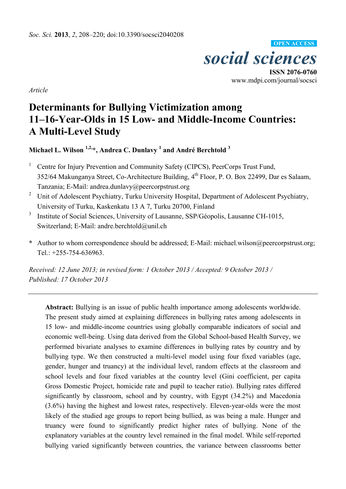

**ISSN 2076-0760** www.mdpi.com/journal/socsci

*Article* 

# **Determinants for Bullying Victimization among 11–16-Year-Olds in 15 Low- and Middle-Income Countries: A Multi-Level Study**

**Michael L. Wilson 1,2,\*, Andrea C. Dunlavy 1 and André Berchtold <sup>3</sup>**

- 1 Centre for Injury Prevention and Community Safety (CIPCS), PeerCorps Trust Fund, 352/64 Makunganya Street, Co-Architecture Building, 4th Floor, P. O. Box 22499, Dar es Salaam, Tanzania; E-Mail: andrea.dunlavy@peercorpstrust.org
- <sup>2</sup> Unit of Adolescent Psychiatry, Turku University Hospital, Department of Adolescent Psychiatry, University of Turku, Kaskenkatu 13 A 7, Turku 20700, Finland
- 3 Institute of Social Sciences, University of Lausanne, SSP/Géopolis, Lausanne CH-1015, Switzerland; E-Mail: andre.berchtold@unil.ch
- **\*** Author to whom correspondence should be addressed; E-Mail: michael.wilson@peercorpstrust.org; Tel.: +255-754-636963.

*Received: 12 June 2013; in revised form: 1 October 2013 / Accepted: 9 October 2013 / Published: 17 October 2013* 

**Abstract:** Bullying is an issue of public health importance among adolescents worldwide. The present study aimed at explaining differences in bullying rates among adolescents in 15 low- and middle-income countries using globally comparable indicators of social and economic well-being. Using data derived from the Global School-based Health Survey, we performed bivariate analyses to examine differences in bullying rates by country and by bullying type. We then constructed a multi-level model using four fixed variables (age, gender, hunger and truancy) at the individual level, random effects at the classroom and school levels and four fixed variables at the country level (Gini coefficient, per capita Gross Domestic Project, homicide rate and pupil to teacher ratio). Bullying rates differed significantly by classroom, school and by country, with Egypt (34.2%) and Macedonia (3.6%) having the highest and lowest rates, respectively. Eleven-year-olds were the most likely of the studied age groups to report being bullied, as was being a male. Hunger and truancy were found to significantly predict higher rates of bullying. None of the explanatory variables at the country level remained in the final model. While self-reported bullying varied significantly between countries, the variance between classrooms better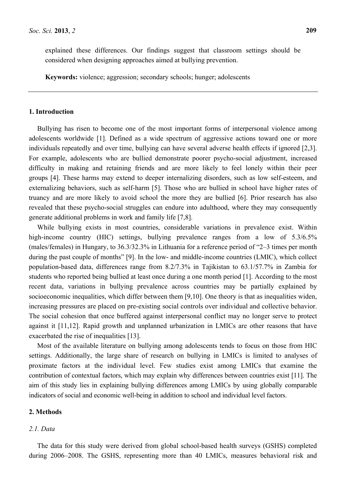explained these differences. Our findings suggest that classroom settings should be considered when designing approaches aimed at bullying prevention.

**Keywords:** violence; aggression; secondary schools; hunger; adolescents

## **1. Introduction**

Bullying has risen to become one of the most important forms of interpersonal violence among adolescents worldwide [1]. Defined as a wide spectrum of aggressive actions toward one or more individuals repeatedly and over time, bullying can have several adverse health effects if ignored [2,3]. For example, adolescents who are bullied demonstrate poorer psycho-social adjustment, increased difficulty in making and retaining friends and are more likely to feel lonely within their peer groups [4]. These harms may extend to deeper internalizing disorders, such as low self-esteem, and externalizing behaviors, such as self-harm [5]. Those who are bullied in school have higher rates of truancy and are more likely to avoid school the more they are bullied [6]. Prior research has also revealed that these psycho-social struggles can endure into adulthood, where they may consequently generate additional problems in work and family life [7,8].

While bullying exists in most countries, considerable variations in prevalence exist. Within high-income country (HIC) settings, bullying prevalence ranges from a low of 5.3/6.5% (males/females) in Hungary, to 36.3/32.3% in Lithuania for a reference period of "2–3 times per month during the past couple of months" [9]. In the low- and middle-income countries (LMIC), which collect population-based data, differences range from 8.2/7.3% in Tajikistan to 63.1/57.7% in Zambia for students who reported being bullied at least once during a one month period [1]. According to the most recent data, variations in bullying prevalence across countries may be partially explained by socioeconomic inequalities, which differ between them [9,10]. One theory is that as inequalities widen, increasing pressures are placed on pre-existing social controls over individual and collective behavior. The social cohesion that once buffered against interpersonal conflict may no longer serve to protect against it [11,12]. Rapid growth and unplanned urbanization in LMICs are other reasons that have exacerbated the rise of inequalities [13].

Most of the available literature on bullying among adolescents tends to focus on those from HIC settings. Additionally, the large share of research on bullying in LMICs is limited to analyses of proximate factors at the individual level. Few studies exist among LMICs that examine the contribution of contextual factors, which may explain why differences between countries exist [11]. The aim of this study lies in explaining bullying differences among LMICs by using globally comparable indicators of social and economic well-being in addition to school and individual level factors.

## **2. Methods**

## *2.1. Data*

The data for this study were derived from global school-based health surveys (GSHS) completed during 2006–2008. The GSHS, representing more than 40 LMICs, measures behavioral risk and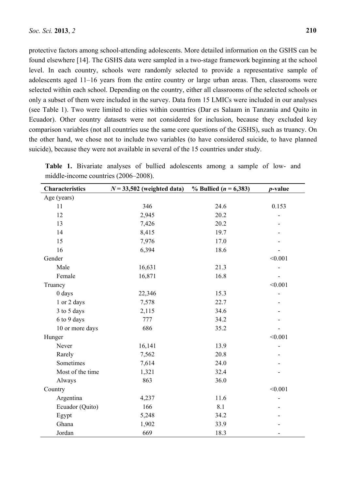protective factors among school-attending adolescents. More detailed information on the GSHS can be found elsewhere [14]. The GSHS data were sampled in a two-stage framework beginning at the school level. In each country, schools were randomly selected to provide a representative sample of adolescents aged 11–16 years from the entire country or large urban areas. Then, classrooms were selected within each school. Depending on the country, either all classrooms of the selected schools or only a subset of them were included in the survey. Data from 15 LMICs were included in our analyses (see Table 1). Two were limited to cities within countries (Dar es Salaam in Tanzania and Quito in Ecuador). Other country datasets were not considered for inclusion, because they excluded key comparison variables (not all countries use the same core questions of the GSHS), such as truancy. On the other hand, we chose not to include two variables (to have considered suicide, to have planned suicide), because they were not available in several of the 15 countries under study.

| Characteristics  | $N = 33,502$ (weighted data) | % Bullied ( $n = 6,383$ ) | <i>p</i> -value |
|------------------|------------------------------|---------------------------|-----------------|
| Age (years)      |                              |                           |                 |
| 11               | 346                          | 24.6                      | 0.153           |
| 12               | 2,945                        | 20.2                      |                 |
| 13               | 7,426                        | 20.2                      |                 |
| 14               | 8,415                        | 19.7                      |                 |
| 15               | 7,976                        | 17.0                      |                 |
| 16               | 6,394                        | 18.6                      |                 |
| Gender           |                              |                           | < 0.001         |
| Male             | 16,631                       | 21.3                      |                 |
| Female           | 16,871                       | 16.8                      |                 |
| Truancy          |                              |                           | < 0.001         |
| 0 days           | 22,346                       | 15.3                      |                 |
| 1 or 2 days      | 7,578                        | 22.7                      |                 |
| 3 to 5 days      | 2,115                        | 34.6                      |                 |
| 6 to 9 days      | 777                          | 34.2                      |                 |
| 10 or more days  | 686                          | 35.2                      |                 |
| Hunger           |                              |                           | < 0.001         |
| Never            | 16,141                       | 13.9                      |                 |
| Rarely           | 7,562                        | 20.8                      |                 |
| Sometimes        | 7,614                        | 24.0                      |                 |
| Most of the time | 1,321                        | 32.4                      |                 |
| Always           | 863                          | 36.0                      |                 |
| Country          |                              |                           | < 0.001         |
| Argentina        | 4,237                        | 11.6                      |                 |
| Ecuador (Quito)  | 166                          | 8.1                       |                 |
| Egypt            | 5,248                        | 34.2                      |                 |
| Ghana            | 1,902                        | 33.9                      |                 |
| Jordan           | 669                          | 18.3                      |                 |

**Table 1.** Bivariate analyses of bullied adolescents among a sample of low- and middle-income countries (2006–2008).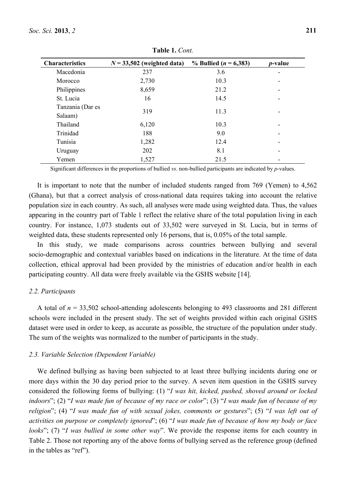| <b>Characteristics</b> | $N = 33,502$ (weighted data) | % Bullied ( $n = 6,383$ ) | <i>p</i> -value          |
|------------------------|------------------------------|---------------------------|--------------------------|
| Macedonia              | 237                          | 3.6                       |                          |
| Morocco                | 2,730                        | 10.3                      |                          |
| Philippines            | 8,659                        | 21.2                      |                          |
| St. Lucia              | 16                           | 14.5                      |                          |
| Tanzania (Dar es       |                              |                           |                          |
| Salaam)                | 319                          | 11.3                      |                          |
| Thailand               | 6,120                        | 10.3                      | $\overline{\phantom{0}}$ |
| Trinidad               | 188                          | 9.0                       | $\overline{\phantom{0}}$ |
| Tunisia                | 1,282                        | 12.4                      |                          |
| Uruguay                | 202                          | 8.1                       | $\overline{\phantom{0}}$ |
| Yemen                  | 1,527                        | 21.5                      |                          |

**Table 1.** *Cont.*

Significant differences in the proportions of bullied *vs*. non-bullied participants are indicated by *p*-values.

It is important to note that the number of included students ranged from 769 (Yemen) to 4,562 (Ghana), but that a correct analysis of cross-national data requires taking into account the relative population size in each country. As such, all analyses were made using weighted data. Thus, the values appearing in the country part of Table 1 reflect the relative share of the total population living in each country. For instance, 1,073 students out of 33,502 were surveyed in St. Lucia, but in terms of weighted data, these students represented only 16 persons, that is, 0.05% of the total sample.

In this study, we made comparisons across countries between bullying and several socio-demographic and contextual variables based on indications in the literature. At the time of data collection, ethical approval had been provided by the ministries of education and/or health in each participating country. All data were freely available via the GSHS website [14].

#### *2.2. Participants*

A total of *n* = 33,502 school-attending adolescents belonging to 493 classrooms and 281 different schools were included in the present study. The set of weights provided within each original GSHS dataset were used in order to keep, as accurate as possible, the structure of the population under study. The sum of the weights was normalized to the number of participants in the study.

#### *2.3. Variable Selection (Dependent Variable)*

We defined bullying as having been subjected to at least three bullying incidents during one or more days within the 30 day period prior to the survey. A seven item question in the GSHS survey considered the following forms of bullying: (1) "*I was hit, kicked, pushed, shoved around or locked indoors*"; (2) "*I was made fun of because of my race or color*"; (3) "*I was made fun of because of my religion*"; (4) "*I was made fun of with sexual jokes, comments or gestures*"; (5) "*I was left out of activities on purpose or completely ignored*"; (6) "*I was made fun of because of how my body or face looks*"; (7) "*I was bullied in some other way*". We provide the response items for each country in Table 2. Those not reporting any of the above forms of bullying served as the reference group (defined in the tables as "ref").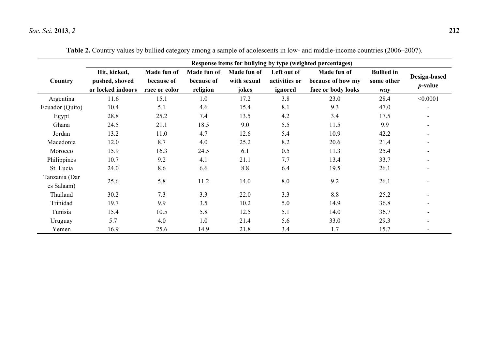## *Soc. Sci.* **2013**, *2* **212**

|                             | Response items for bullying by type (weighted percentages) |                                            |                                       |                                     |                                         |                                                        |                                        |                            |
|-----------------------------|------------------------------------------------------------|--------------------------------------------|---------------------------------------|-------------------------------------|-----------------------------------------|--------------------------------------------------------|----------------------------------------|----------------------------|
| Country                     | Hit, kicked,<br>pushed, shoved<br>or locked indoors        | Made fun of<br>because of<br>race or color | Made fun of<br>because of<br>religion | Made fun of<br>with sexual<br>jokes | Left out of<br>activities or<br>ignored | Made fun of<br>because of how my<br>face or body looks | <b>Bullied in</b><br>some other<br>way | Design-based<br>$p$ -value |
| Argentina                   | 11.6                                                       | 15.1                                       | 1.0                                   | 17.2                                | 3.8                                     | 23.0                                                   | 28.4                                   | < 0.0001                   |
| Ecuador (Quito)             | 10.4                                                       | 5.1                                        | 4.6                                   | 15.4                                | 8.1                                     | 9.3                                                    | 47.0                                   | ۰                          |
| Egypt                       | 28.8                                                       | 25.2                                       | 7.4                                   | 13.5                                | 4.2                                     | 3.4                                                    | 17.5                                   | -                          |
| Ghana                       | 24.5                                                       | 21.1                                       | 18.5                                  | 9.0                                 | 5.5                                     | 11.5                                                   | 9.9                                    |                            |
| Jordan                      | 13.2                                                       | 11.0                                       | 4.7                                   | 12.6                                | 5.4                                     | 10.9                                                   | 42.2                                   | ۰                          |
| Macedonia                   | 12.0                                                       | 8.7                                        | 4.0                                   | 25.2                                | 8.2                                     | 20.6                                                   | 21.4                                   | $\overline{\phantom{a}}$   |
| Morocco                     | 15.9                                                       | 16.3                                       | 24.5                                  | 6.1                                 | 0.5                                     | 11.3                                                   | 25.4                                   |                            |
| Philippines                 | 10.7                                                       | 9.2                                        | 4.1                                   | 21.1                                | 7.7                                     | 13.4                                                   | 33.7                                   |                            |
| St. Lucia                   | 24.0                                                       | 8.6                                        | 6.6                                   | 8.8                                 | 6.4                                     | 19.5                                                   | 26.1                                   |                            |
| Tanzania (Dar<br>es Salaam) | 25.6                                                       | 5.8                                        | 11.2                                  | 14.0                                | 8.0                                     | 9.2                                                    | 26.1                                   |                            |
| Thailand                    | 30.2                                                       | 7.3                                        | 3.3                                   | 22.0                                | 3.3                                     | 8.8                                                    | 25.2                                   |                            |
| Trinidad                    | 19.7                                                       | 9.9                                        | 3.5                                   | 10.2                                | 5.0                                     | 14.9                                                   | 36.8                                   |                            |
| Tunisia                     | 15.4                                                       | 10.5                                       | 5.8                                   | 12.5                                | 5.1                                     | 14.0                                                   | 36.7                                   |                            |
| Uruguay                     | 5.7                                                        | 4.0                                        | 1.0                                   | 21.4                                | 5.6                                     | 33.0                                                   | 29.3                                   |                            |
| Yemen                       | 16.9                                                       | 25.6                                       | 14.9                                  | 21.8                                | 3.4                                     | 1.7                                                    | 15.7                                   | $\overline{\phantom{0}}$   |

**Table 2.** Country values by bullied category among a sample of adolescents in low- and middle-income countries (2006–2007).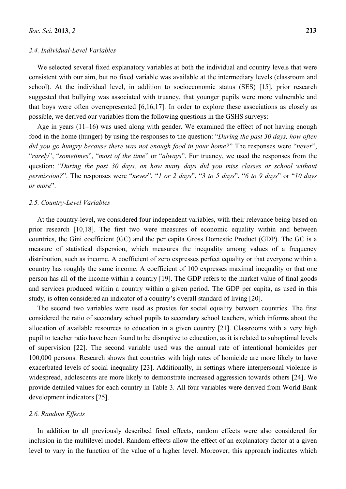#### *2.4. Individual-Level Variables*

We selected several fixed explanatory variables at both the individual and country levels that were consistent with our aim, but no fixed variable was available at the intermediary levels (classroom and school). At the individual level, in addition to socioeconomic status (SES) [15], prior research suggested that bullying was associated with truancy, that younger pupils were more vulnerable and that boys were often overrepresented [6,16,17]. In order to explore these associations as closely as possible, we derived our variables from the following questions in the GSHS surveys:

Age in years (11–16) was used along with gender. We examined the effect of not having enough food in the home (hunger) by using the responses to the question: "*During the past 30 days, how often did you go hungry because there was not enough food in your home?*" The responses were "*never*", "*rarely*", "*sometimes*", "*most of the time*" or "*always*". For truancy, we used the responses from the question: "*During the past 30 days, on how many days did you miss classes or school without permission?*". The responses were "*never*", "*1 or 2 days*", "*3 to 5 days*", "*6 to 9 days*" or "*10 days or more*".

#### *2.5. Country-Level Variables*

At the country-level, we considered four independent variables, with their relevance being based on prior research [10,18]. The first two were measures of economic equality within and between countries, the Gini coefficient (GC) and the per capita Gross Domestic Product (GDP). The GC is a measure of statistical dispersion, which measures the inequality among values of a frequency distribution, such as income. A coefficient of zero expresses perfect equality or that everyone within a country has roughly the same income. A coefficient of 100 expresses maximal inequality or that one person has all of the income within a country [19]. The GDP refers to the market value of final goods and services produced within a country within a given period. The GDP per capita, as used in this study, is often considered an indicator of a country's overall standard of living [20].

The second two variables were used as proxies for social equality between countries. The first considered the ratio of secondary school pupils to secondary school teachers, which informs about the allocation of available resources to education in a given country [21]. Classrooms with a very high pupil to teacher ratio have been found to be disruptive to education, as it is related to suboptimal levels of supervision [22]. The second variable used was the annual rate of intentional homicides per 100,000 persons. Research shows that countries with high rates of homicide are more likely to have exacerbated levels of social inequality [23]. Additionally, in settings where interpersonal violence is widespread, adolescents are more likely to demonstrate increased aggression towards others [24]. We provide detailed values for each country in Table 3. All four variables were derived from World Bank development indicators [25].

#### *2.6. Random Effects*

In addition to all previously described fixed effects, random effects were also considered for inclusion in the multilevel model. Random effects allow the effect of an explanatory factor at a given level to vary in the function of the value of a higher level. Moreover, this approach indicates which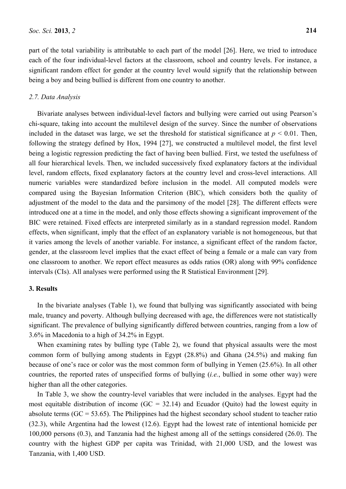part of the total variability is attributable to each part of the model [26]. Here, we tried to introduce each of the four individual-level factors at the classroom, school and country levels. For instance, a significant random effect for gender at the country level would signify that the relationship between being a boy and being bullied is different from one country to another.

#### *2.7. Data Analysis*

Bivariate analyses between individual-level factors and bullying were carried out using Pearson's chi-square, taking into account the multilevel design of the survey. Since the number of observations included in the dataset was large, we set the threshold for statistical significance at  $p \le 0.01$ . Then, following the strategy defined by Hox, 1994 [27], we constructed a multilevel model, the first level being a logistic regression predicting the fact of having been bullied. First, we tested the usefulness of all four hierarchical levels. Then, we included successively fixed explanatory factors at the individual level, random effects, fixed explanatory factors at the country level and cross-level interactions. All numeric variables were standardized before inclusion in the model. All computed models were compared using the Bayesian Information Criterion (BIC), which considers both the quality of adjustment of the model to the data and the parsimony of the model [28]. The different effects were introduced one at a time in the model, and only those effects showing a significant improvement of the BIC were retained. Fixed effects are interpreted similarly as in a standard regression model. Random effects, when significant, imply that the effect of an explanatory variable is not homogeneous, but that it varies among the levels of another variable. For instance, a significant effect of the random factor, gender, at the classroom level implies that the exact effect of being a female or a male can vary from one classroom to another. We report effect measures as odds ratios (OR) along with 99% confidence intervals (CIs). All analyses were performed using the R Statistical Environment [29].

#### **3. Results**

In the bivariate analyses (Table 1), we found that bullying was significantly associated with being male, truancy and poverty. Although bullying decreased with age, the differences were not statistically significant. The prevalence of bullying significantly differed between countries, ranging from a low of 3.6% in Macedonia to a high of 34.2% in Egypt.

When examining rates by bulling type (Table 2), we found that physical assaults were the most common form of bullying among students in Egypt (28.8%) and Ghana (24.5%) and making fun because of one's race or color was the most common form of bullying in Yemen (25.6%). In all other countries, the reported rates of unspecified forms of bullying (*i.e.*, bullied in some other way) were higher than all the other categories.

In Table 3, we show the country-level variables that were included in the analyses. Egypt had the most equitable distribution of income  $(GC = 32.14)$  and Ecuador (Quito) had the lowest equity in absolute terms  $(GC = 53.65)$ . The Philippines had the highest secondary school student to teacher ratio (32.3), while Argentina had the lowest (12.6). Egypt had the lowest rate of intentional homicide per 100,000 persons (0.3), and Tanzania had the highest among all of the settings considered (26.0). The country with the highest GDP per capita was Trinidad, with 21,000 USD, and the lowest was Tanzania, with 1,400 USD.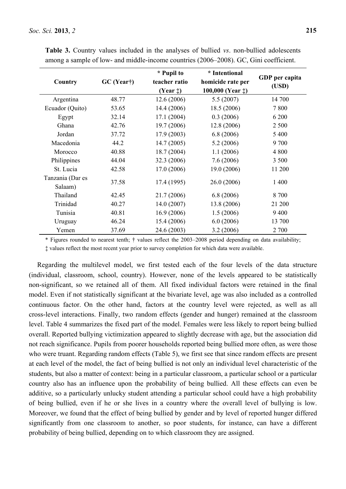| Country                     | $GC$ (Year†) | * Pupil to<br>teacher ratio<br>$(Year \t{t})$ | * Intentional<br>homicide rate per<br>100,000 (Year $\ddagger$ ) | GDP per capita<br>(USD) |
|-----------------------------|--------------|-----------------------------------------------|------------------------------------------------------------------|-------------------------|
| Argentina                   | 48.77        | 12.6(2006)                                    | 5.5(2007)                                                        | 14 700                  |
| Ecuador (Quito)             | 53.65        | 14.4 (2006)                                   | 18.5 (2006)                                                      | 7800                    |
| Egypt                       | 32.14        | 17.1 (2004)                                   | 0.3(2006)                                                        | 6 200                   |
| Ghana                       | 42.76        | 19.7 (2006)                                   | 12.8 (2006)                                                      | 2 500                   |
| Jordan                      | 37.72        | 17.9(2003)                                    | 6.8(2006)                                                        | 5 4 0 0                 |
| Macedonia                   | 44.2         | 14.7 (2005)                                   | 5.2(2006)                                                        | 9 700                   |
| Morocco                     | 40.88        | 18.7 (2004)                                   | 1.1(2006)                                                        | 4 8 0 0                 |
| Philippines                 | 44.04        | 32.3 (2006)                                   | 7.6(2006)                                                        | 3 500                   |
| St. Lucia                   | 42.58        | 17.0(2006)                                    | 19.0(2006)                                                       | 11 200                  |
| Tanzania (Dar es<br>Salaam) | 37.58        | 17.4 (1995)                                   | 26.0(2006)                                                       | 1 400                   |
| Thailand                    | 42.45        | 21.7 (2006)                                   | 6.8(2006)                                                        | 8 700                   |
| Trinidad                    | 40.27        | 14.0(2007)                                    | 13.8 (2006)                                                      | 21 200                  |
| Tunisia                     | 40.81        | 16.9(2006)                                    | 1.5(2006)                                                        | 9 4 0 0                 |
| Uruguay                     | 46.24        | 15.4 (2006)                                   | 6.0(2006)                                                        | 13 700                  |
| Yemen                       | 37.69        | 24.6 (2003)                                   | 3.2(2006)                                                        | 2 700                   |

**Table 3.** Country values included in the analyses of bullied *vs*. non-bullied adolescents among a sample of low- and middle-income countries (2006–2008). GC, Gini coefficient.

\* Figures rounded to nearest tenth; † values reflect the 2003–2008 period depending on data availability; ‡ values reflect the most recent year prior to survey completion for which data were available.

Regarding the multilevel model, we first tested each of the four levels of the data structure (individual, classroom, school, country). However, none of the levels appeared to be statistically non-significant, so we retained all of them. All fixed individual factors were retained in the final model. Even if not statistically significant at the bivariate level, age was also included as a controlled continuous factor. On the other hand, factors at the country level were rejected, as well as all cross-level interactions. Finally, two random effects (gender and hunger) remained at the classroom level. Table 4 summarizes the fixed part of the model. Females were less likely to report being bullied overall. Reported bullying victimization appeared to slightly decrease with age, but the association did not reach significance. Pupils from poorer households reported being bullied more often, as were those who were truant. Regarding random effects (Table 5), we first see that since random effects are present at each level of the model, the fact of being bullied is not only an individual level characteristic of the students, but also a matter of context: being in a particular classroom, a particular school or a particular country also has an influence upon the probability of being bullied. All these effects can even be additive, so a particularly unlucky student attending a particular school could have a high probability of being bullied, even if he or she lives in a country where the overall level of bullying is low. Moreover, we found that the effect of being bullied by gender and by level of reported hunger differed significantly from one classroom to another, so poor students, for instance, can have a different probability of being bullied, depending on to which classroom they are assigned.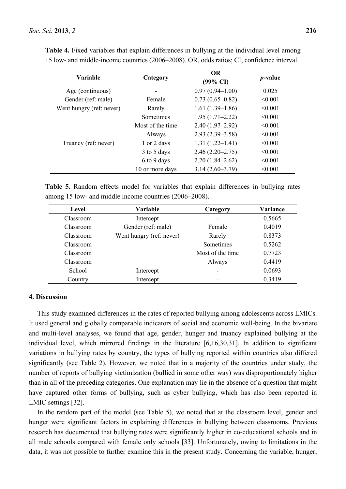| <b>Variable</b>          | Category         | <b>OR</b><br>$(99\% \text{ CI})$ | <i>p</i> -value |
|--------------------------|------------------|----------------------------------|-----------------|
| Age (continuous)         |                  | $0.97(0.94 - 1.00)$              | 0.025           |
| Gender (ref: male)       | Female           | $0.73(0.65 - 0.82)$              | < 0.001         |
| Went hungry (ref: never) | Rarely           | $1.61(1.39-1.86)$                | < 0.001         |
|                          | Sometimes        | $1.95(1.71-2.22)$                | < 0.001         |
|                          | Most of the time | $2.40(1.97-2.92)$                | < 0.001         |
|                          | Always           | $2.93(2.39-3.58)$                | < 0.001         |
| Truancy (ref: never)     | 1 or 2 days      | $1.31(1.22 - 1.41)$              | < 0.001         |
|                          | 3 to 5 days      | $2.46(2.20 - 2.75)$              | < 0.001         |
|                          | 6 to 9 days      | $2.20(1.84 - 2.62)$              | < 0.001         |
|                          | 10 or more days  | $3.14(2.60-3.79)$                | < 0.001         |

**Table 4.** Fixed variables that explain differences in bullying at the individual level among 15 low- and middle-income countries (2006–2008). OR, odds ratios; CI, confidence interval.

**Table 5.** Random effects model for variables that explain differences in bullying rates among 15 low- and middle income countries (2006–2008).

| Level     | Variable                 | Category         | Variance |
|-----------|--------------------------|------------------|----------|
| Classroom | Intercept                |                  | 0.5665   |
| Classroom | Gender (ref: male)       | Female           | 0.4019   |
| Classroom | Went hungry (ref: never) | Rarely           | 0.8373   |
| Classroom |                          | Sometimes        | 0.5262   |
| Classroom |                          | Most of the time | 0.7723   |
| Classroom |                          | Always           | 0.4419   |
| School    | Intercept                |                  | 0.0693   |
| Country   | Intercept                |                  | 0.3419   |

#### **4. Discussion**

This study examined differences in the rates of reported bullying among adolescents across LMICs. It used general and globally comparable indicators of social and economic well-being. In the bivariate and multi-level analyses, we found that age, gender, hunger and truancy explained bullying at the individual level, which mirrored findings in the literature [6,16,30,31]. In addition to significant variations in bullying rates by country, the types of bullying reported within countries also differed significantly (see Table 2). However, we noted that in a majority of the countries under study, the number of reports of bullying victimization (bullied in some other way) was disproportionately higher than in all of the preceding categories. One explanation may lie in the absence of a question that might have captured other forms of bullying, such as cyber bullying, which has also been reported in LMIC settings [32].

In the random part of the model (see Table 5), we noted that at the classroom level, gender and hunger were significant factors in explaining differences in bullying between classrooms. Previous research has documented that bullying rates were significantly higher in co-educational schools and in all male schools compared with female only schools [33]. Unfortunately, owing to limitations in the data, it was not possible to further examine this in the present study. Concerning the variable, hunger,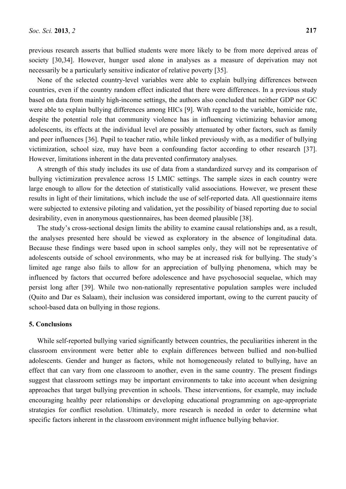previous research asserts that bullied students were more likely to be from more deprived areas of society [30,34]. However, hunger used alone in analyses as a measure of deprivation may not necessarily be a particularly sensitive indicator of relative poverty [35].

None of the selected country-level variables were able to explain bullying differences between countries, even if the country random effect indicated that there were differences. In a previous study based on data from mainly high-income settings, the authors also concluded that neither GDP nor GC were able to explain bullying differences among HICs [9]. With regard to the variable, homicide rate, despite the potential role that community violence has in influencing victimizing behavior among adolescents, its effects at the individual level are possibly attenuated by other factors, such as family and peer influences [36]. Pupil to teacher ratio, while linked previously with, as a modifier of bullying victimization, school size, may have been a confounding factor according to other research [37]. However, limitations inherent in the data prevented confirmatory analyses.

A strength of this study includes its use of data from a standardized survey and its comparison of bullying victimization prevalence across 15 LMIC settings. The sample sizes in each country were large enough to allow for the detection of statistically valid associations. However, we present these results in light of their limitations, which include the use of self-reported data. All questionnaire items were subjected to extensive piloting and validation, yet the possibility of biased reporting due to social desirability, even in anonymous questionnaires, has been deemed plausible [38].

The study's cross-sectional design limits the ability to examine causal relationships and, as a result, the analyses presented here should be viewed as exploratory in the absence of longitudinal data. Because these findings were based upon in school samples only, they will not be representative of adolescents outside of school environments, who may be at increased risk for bullying. The study's limited age range also fails to allow for an appreciation of bullying phenomena, which may be influenced by factors that occurred before adolescence and have psychosocial sequelae, which may persist long after [39]. While two non-nationally representative population samples were included (Quito and Dar es Salaam), their inclusion was considered important, owing to the current paucity of school-based data on bullying in those regions.

#### **5. Conclusions**

While self-reported bullying varied significantly between countries, the peculiarities inherent in the classroom environment were better able to explain differences between bullied and non-bullied adolescents. Gender and hunger as factors, while not homogeneously related to bullying, have an effect that can vary from one classroom to another, even in the same country. The present findings suggest that classroom settings may be important environments to take into account when designing approaches that target bullying prevention in schools. These interventions, for example, may include encouraging healthy peer relationships or developing educational programming on age-appropriate strategies for conflict resolution. Ultimately, more research is needed in order to determine what specific factors inherent in the classroom environment might influence bullying behavior.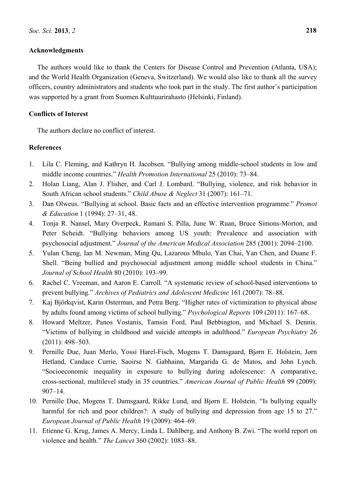## **Acknowledgments**

The authors would like to thank the Centers for Disease Control and Prevention (Atlanta, USA); and the World Health Organization (Geneva, Switzerland). We would also like to thank all the survey officers, country administrators and students who took part in the study. The first author's participation was supported by a grant from Suomen Kulttuurirahasto (Helsinki, Finland).

## **Conflicts of Interest**

The authors declare no conflict of interest.

## **References**

- 1. Lila C. Fleming, and Kathryn H. Jacobsen. "Bullying among middle-school students in low and middle income countries." *Health Promotion International* 25 (2010): 73–84.
- 2. Holan Liang, Alan J. Flisher, and Carl J. Lombard. "Bullying, violence, and risk behavior in South African school students." *Child Abuse & Neglect* 31 (2007): 161–71.
- 3. Dan Olweus. "Bullying at school. Basic facts and an effective intervention programme." *Promot & Education* 1 (1994): 27–31, 48.
- 4. Tonja R. Nansel, Mary Overpeck, Ramani S. Pilla, June W. Ruan, Bruce Simons-Morton, and Peter Scheidt. "Bullying behaviors among US youth: Prevalence and association with psychosocial adjustment." *Journal of the American Medical Association* 285 (2001): 2094–2100.
- 5. Yulan Cheng, Ian M. Newman, Ming Qu, Lazarous Mbulo, Yan Chai, Yan Chen, and Duane F. Shell. "Being bullied and psychosocial adjustment among middle school students in China." *Journal of School Health* 80 (2010): 193–99.
- 6. Rachel C. Vreeman, and Aaron E. Carroll. "A systematic review of school-based interventions to prevent bullying." *Archives of Pediatrics and Adolescent Medicine* 161 (2007): 78–88.
- 7. Kaj Björkqvist, Karin Osterman, and Petra Berg. "Higher rates of victimization to physical abuse by adults found among victims of school bullying." *Psychological Reports* 109 (2011): 167–68.
- 8. Howard Meltzer, Panos Vostanis, Tamsin Ford, Paul Bebbington, and Michael S. Dennis. "Victims of bullying in childhood and suicide attempts in adulthood." *European Psychiatry* 26 (2011): 498–503.
- 9. Pernille Due, Juan Merlo, Yossi Harel-Fisch, Mogens T. Damsgaard, Bj*ø*rn E. Holstein, J*ø*rn Hetland, Candace Currie, Saoirse N. Gabhainn, Margarida G. de Matos, and John Lynch. "Socioeconomic inequality in exposure to bullying during adolescence: A comparative, cross-sectional, multilevel study in 35 countries." *American Journal of Public Health* 99 (2009): 907–14.
- 10. Pernille Due, Mogens T. Damsgaard, Rikke Lund, and Bj*ø*rn E. Holstein. "Is bullying equally harmful for rich and poor children?: A study of bullying and depression from age 15 to 27." *European Journal of Public Health* 19 (2009): 464–69.
- 11. Etienne G. Krug, James A. Mercy, Linda L. Dahlberg, and Anthony B. Zwi. "The world report on violence and health." *The Lancet* 360 (2002): 1083–88.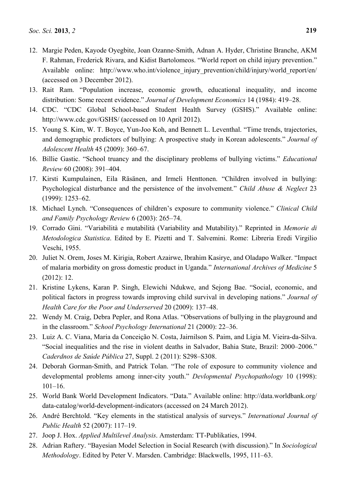- 12. Margie Peden, Kayode Oyegbite, Joan Ozanne-Smith, Adnan A. Hyder, Christine Branche, AKM F. Rahman, Frederick Rivara, and Kidist Bartolomeos. "World report on child injury prevention." Available online: http://www.who.int/violence\_injury\_prevention/child/injury/world\_report/en/ (accessed on 3 December 2012).
- 13. Rait Ram. "Population increase, economic growth, educational inequality, and income distribution: Some recent evidence." *Journal of Development Economics* 14 (1984): 419–28.
- 14. CDC. "CDC Global School-based Student Health Survey (GSHS)." Available online: http://www.cdc.gov/GSHS/ (accessed on 10 April 2012).
- 15. Young S. Kim, W. T. Boyce, Yun-Joo Koh, and Bennett L. Leventhal. "Time trends, trajectories, and demographic predictors of bullying: A prospective study in Korean adolescents." *Journal of Adolescent Health* 45 (2009): 360–67.
- 16. Billie Gastic. "School truancy and the disciplinary problems of bullying victims." *Educational Review* 60 (2008): 391–404.
- 17. Kirsti Kumpulainen, Eila Räsänen, and Irmeli Henttonen. "Children involved in bullying: Psychological disturbance and the persistence of the involvement." *Child Abuse & Neglect* 23 (1999): 1253–62.
- 18. Michael Lynch. "Consequences of children's exposure to community violence." *Clinical Child and Family Psychology Review* 6 (2003): 265–74.
- 19. Corrado Gini. "Variabilità e mutabilità (Variability and Mutability)." Reprinted in *Memorie di Metodologica Statistica*. Edited by E. Pizetti and T. Salvemini. Rome: Libreria Eredi Virgilio Veschi, 1955.
- 20. Juliet N. Orem, Joses M. Kirigia, Robert Azairwe, Ibrahim Kasirye, and Oladapo Walker. "Impact of malaria morbidity on gross domestic product in Uganda." *International Archives of Medicine* 5 (2012): 12.
- 21. Kristine Lykens, Karan P. Singh, Elewichi Ndukwe, and Sejong Bae. "Social, economic, and political factors in progress towards improving child survival in developing nations." *Journal of Health Care for the Poor and Underserved* 20 (2009): 137–48.
- 22. Wendy M. Craig, Debra Pepler, and Rona Atlas. "Observations of bullying in the playground and in the classroom." *School Psychology International* 21 (2000): 22–36.
- 23. Luiz A. C. Viana, Maria da Conceição N. Costa, Jairnilson S. Paim, and Ligia M. Vieira-da-Silva. "Social inequalities and the rise in violent deaths in Salvador, Bahia State, Brazil: 2000–2006." *Caderdnos de Saúde Pública* 27, Suppl. 2 (2011): S298–S308.
- 24. Deborah Gorman-Smith, and Patrick Tolan. "The role of exposure to community violence and developmental problems among inner-city youth." *Devlopmental Psychopathology* 10 (1998):  $101–16$ .
- 25. World Bank World Development Indicators. "Data." Available online: http://data.worldbank.org/ data-catalog/world-development-indicators (accessed on 24 March 2012).
- 26. André Berchtold. "Key elements in the statistical analysis of surveys." *International Journal of Public Health* 52 (2007): 117–19.
- 27. Joop J. Hox. *Applied Multilevel Analysis*. Amsterdam: TT-Publikaties, 1994.
- 28. Adrian Raftery. "Bayesian Model Selection in Social Research (with discussion)." In *Sociological Methodology*. Edited by Peter V. Marsden. Cambridge: Blackwells, 1995, 111–63.